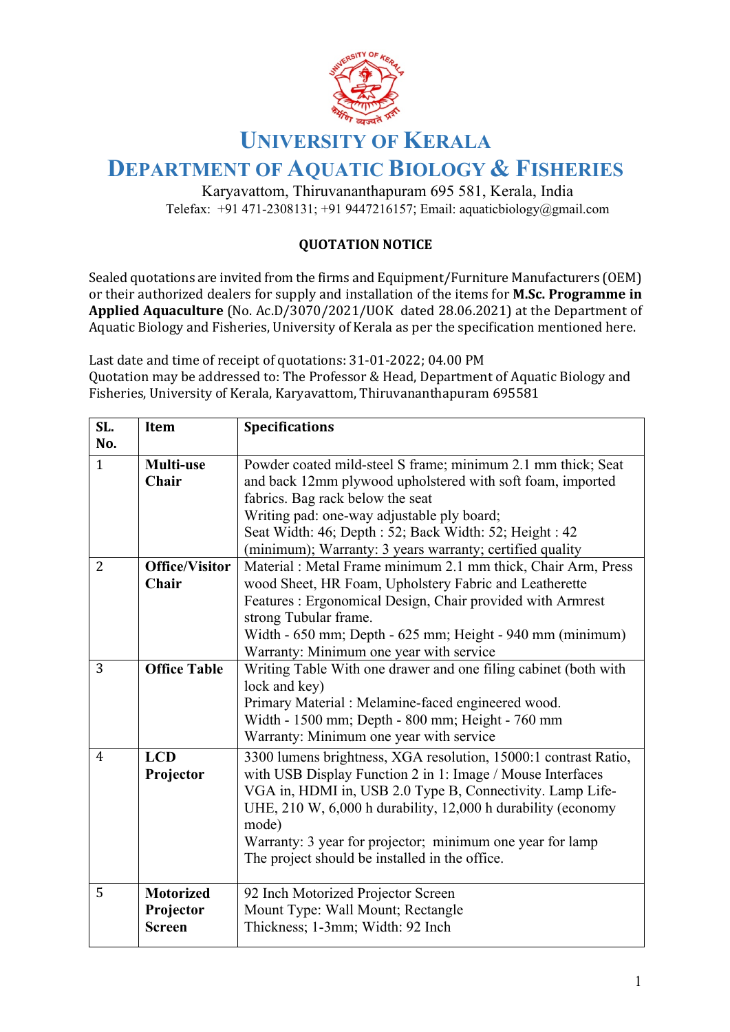

## **UNIVERSITY OF KERALA**

## **DEPARTMENT OF AQUATIC BIOLOGY & FISHERIES**

Karyavattom, Thiruvananthapuram 695 581, Kerala, India Telefax: +91 471-2308131; +91 9447216157; Email: aquaticbiology@gmail.com

## **QUOTATION NOTICE**

Sealed quotations are invited from the firms and Equipment/Furniture Manufacturers (OEM) or their authorized dealers for supply and installation of the items for **M.Sc. Programme in Applied Aquaculture** (No. Ac.D/3070/2021/UOK dated 28.06.2021) at the Department of Aquatic Biology and Fisheries, University of Kerala as per the specification mentioned here.

Last date and time of receipt of quotations: 31-01-2022; 04.00 PM Quotation may be addressed to: The Professor & Head, Department of Aquatic Biology and Fisheries, University of Kerala, Karyavattom, Thiruvananthapuram 695581

| SL.            | Item                  | <b>Specifications</b>                                           |
|----------------|-----------------------|-----------------------------------------------------------------|
| No.            |                       |                                                                 |
| $\mathbf{1}$   | Multi-use             | Powder coated mild-steel S frame; minimum 2.1 mm thick; Seat    |
|                | <b>Chair</b>          | and back 12mm plywood upholstered with soft foam, imported      |
|                |                       | fabrics. Bag rack below the seat                                |
|                |                       | Writing pad: one-way adjustable ply board;                      |
|                |                       | Seat Width: 46; Depth : 52; Back Width: 52; Height : 42         |
|                |                       | (minimum); Warranty: 3 years warranty; certified quality        |
| $\overline{2}$ | <b>Office/Visitor</b> | Material : Metal Frame minimum 2.1 mm thick, Chair Arm, Press   |
|                | <b>Chair</b>          | wood Sheet, HR Foam, Upholstery Fabric and Leatherette          |
|                |                       | Features: Ergonomical Design, Chair provided with Armrest       |
|                |                       | strong Tubular frame.                                           |
|                |                       | Width - 650 mm; Depth - 625 mm; Height - 940 mm (minimum)       |
|                |                       | Warranty: Minimum one year with service                         |
| 3              | <b>Office Table</b>   | Writing Table With one drawer and one filing cabinet (both with |
|                |                       | lock and key)                                                   |
|                |                       | Primary Material : Melamine-faced engineered wood.              |
|                |                       | Width - 1500 mm; Depth - 800 mm; Height - 760 mm                |
|                |                       | Warranty: Minimum one year with service                         |
| $\overline{4}$ | <b>LCD</b>            | 3300 lumens brightness, XGA resolution, 15000:1 contrast Ratio, |
|                | Projector             | with USB Display Function 2 in 1: Image / Mouse Interfaces      |
|                |                       | VGA in, HDMI in, USB 2.0 Type B, Connectivity. Lamp Life-       |
|                |                       | UHE, 210 W, 6,000 h durability, 12,000 h durability (economy    |
|                |                       | mode)                                                           |
|                |                       | Warranty: 3 year for projector; minimum one year for lamp       |
|                |                       | The project should be installed in the office.                  |
| 5              |                       |                                                                 |
|                | <b>Motorized</b>      | 92 Inch Motorized Projector Screen                              |
|                | Projector             | Mount Type: Wall Mount; Rectangle                               |
|                | <b>Screen</b>         | Thickness; 1-3mm; Width: 92 Inch                                |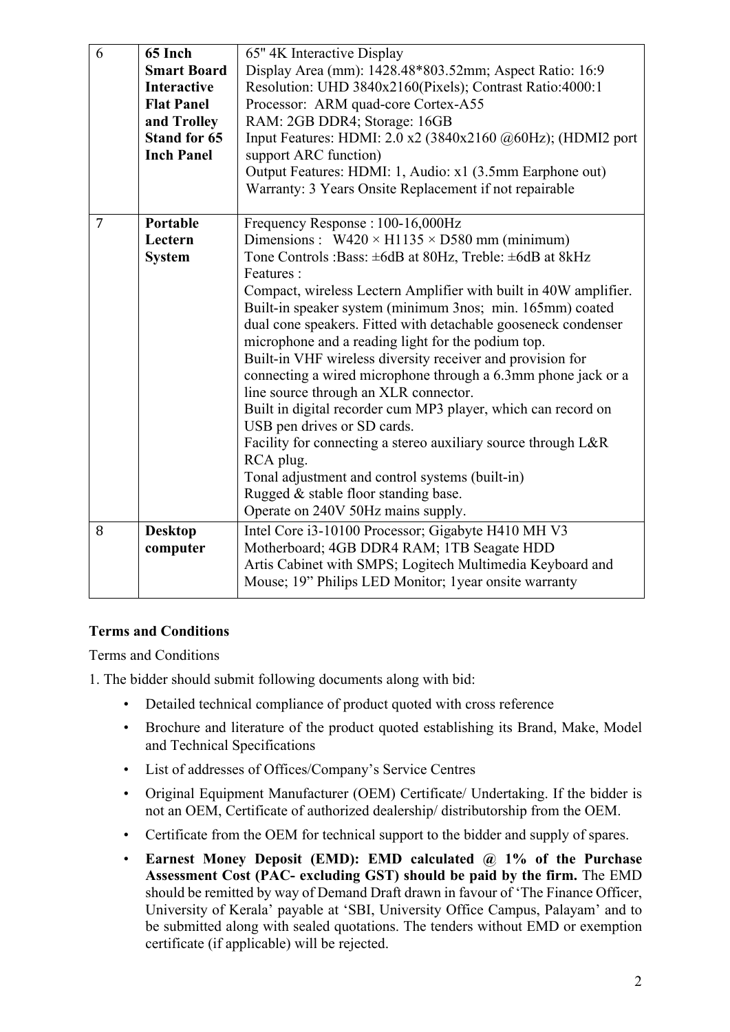| 6              | 65 Inch             | 65" 4K Interactive Display                                                                             |
|----------------|---------------------|--------------------------------------------------------------------------------------------------------|
|                | <b>Smart Board</b>  | Display Area (mm): 1428.48*803.52mm; Aspect Ratio: 16:9                                                |
|                | <b>Interactive</b>  | Resolution: UHD 3840x2160(Pixels); Contrast Ratio:4000:1                                               |
|                | <b>Flat Panel</b>   | Processor: ARM quad-core Cortex-A55                                                                    |
|                | and Trolley         | RAM: 2GB DDR4; Storage: 16GB                                                                           |
|                | <b>Stand for 65</b> | Input Features: HDMI: $2.0$ x2 (3840x2160 $@60Hz$ ); (HDMI2 port                                       |
|                | <b>Inch Panel</b>   | support ARC function)                                                                                  |
|                |                     |                                                                                                        |
|                |                     | Output Features: HDMI: 1, Audio: x1 (3.5mm Earphone out)                                               |
|                |                     | Warranty: 3 Years Onsite Replacement if not repairable                                                 |
| $\overline{7}$ | Portable            | Frequency Response: 100-16,000Hz                                                                       |
|                | Lectern             | Dimensions: $W420 \times H1135 \times D580$ mm (minimum)                                               |
|                | <b>System</b>       | Tone Controls : Bass: $\pm 6$ dB at 80Hz, Treble: $\pm 6$ dB at 8kHz                                   |
|                |                     | Features:                                                                                              |
|                |                     | Compact, wireless Lectern Amplifier with built in 40W amplifier.                                       |
|                |                     | Built-in speaker system (minimum 3nos; min. 165mm) coated                                              |
|                |                     | dual cone speakers. Fitted with detachable gooseneck condenser                                         |
|                |                     | microphone and a reading light for the podium top.                                                     |
|                |                     | Built-in VHF wireless diversity receiver and provision for                                             |
|                |                     |                                                                                                        |
|                |                     | connecting a wired microphone through a 6.3mm phone jack or a<br>line source through an XLR connector. |
|                |                     | Built in digital recorder cum MP3 player, which can record on                                          |
|                |                     | USB pen drives or SD cards.                                                                            |
|                |                     | Facility for connecting a stereo auxiliary source through L&R                                          |
|                |                     | RCA plug.                                                                                              |
|                |                     | Tonal adjustment and control systems (built-in)                                                        |
|                |                     | Rugged & stable floor standing base.                                                                   |
|                |                     | Operate on 240V 50Hz mains supply.                                                                     |
|                |                     |                                                                                                        |
| 8              | <b>Desktop</b>      | Intel Core i3-10100 Processor; Gigabyte H410 MH V3                                                     |
|                | computer            | Motherboard; 4GB DDR4 RAM; 1TB Seagate HDD                                                             |
|                |                     | Artis Cabinet with SMPS; Logitech Multimedia Keyboard and                                              |
|                |                     | Mouse; 19" Philips LED Monitor; 1year onsite warranty                                                  |
|                |                     |                                                                                                        |

## **Terms and Conditions**

Terms and Conditions

1. The bidder should submit following documents along with bid:

- Detailed technical compliance of product quoted with cross reference
- Brochure and literature of the product quoted establishing its Brand, Make, Model and Technical Specifications
- List of addresses of Offices/Company's Service Centres
- Original Equipment Manufacturer (OEM) Certificate/ Undertaking. If the bidder is not an OEM, Certificate of authorized dealership/ distributorship from the OEM.
- Certificate from the OEM for technical support to the bidder and supply of spares.
- **Earnest Money Deposit (EMD): EMD calculated @ 1% of the Purchase Assessment Cost (PAC- excluding GST) should be paid by the firm.** The EMD should be remitted by way of Demand Draft drawn in favour of 'The Finance Officer, University of Kerala' payable at 'SBI, University Office Campus, Palayam' and to be submitted along with sealed quotations. The tenders without EMD or exemption certificate (if applicable) will be rejected.